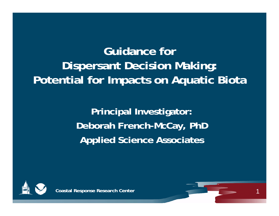# **Guidance for Dispersant Decision Making: Potential for Impacts on Aquatic Biota**

**Principal Investigator: Deborah French-McCay, PhD Applied Science Associates**



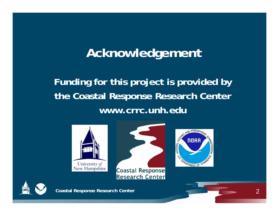# **Acknowledgement**

# **Funding for this project is provided by the Coastal Response Research Center www.crrc.unh.edu**





**Coastal Response Research Center** 





**Coastal Response Research Center** 2 2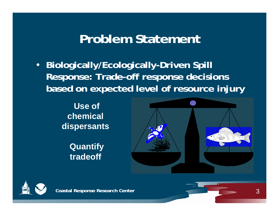# **Problem Statement**

• **Biologically/Ecologically-Driven Spill Response: Trade-off response decisions based on expected level of resource injury**

> **Use of chemical dispersants**

> > **Quantify tradeoff**



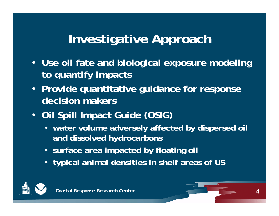# **Investigative Approach**

- **Use oil fate and biological exposure modeling to quantify impacts**
- **Provide quantitative guidance for response decision makers**
- **Oil Spill Impact Guide (OSIG)**
	- **water volume adversely affected by dispersed oil and dissolved hydrocarbons**
	- **surface area impacted by floating oil**
	- **typical animal densities in shelf areas of US**



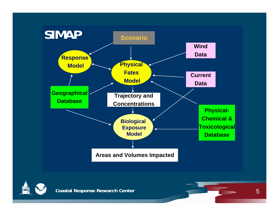

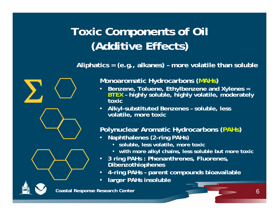# **Toxic Components of Oil (Additive Effects)**

**Aliphatics = (e.g., alkanes) – more volatile than soluble**



**Monoaromatic Hydrocarbons (MAHs)**

- • **Benzene, Toluene, Ethylbenzene and Xylenes <sup>=</sup> BTEX – highly soluble, highly volatile, moderately toxic**
- **Alkyl-substituted Benzenes – soluble, less volatile, more toxic**

### **Polynuclear Aromatic Hydrocarbons (PAHs)**

- • **Naphthalenes (2-ring PAHs)**
	- **soluble, less volatile, more toxic**
	- **with more alkyl chains, less soluble but more toxic**
- • **3 ring PAHs : Phenanthrenes, Fluorenes, Dibenzothiophenes**
- •**4-ring PAHs – parent compounds bioavailable**
- •**larger PAHs insoluble**

**Coastal Response Research Center** 6 and 6 and 6 and 6 and 6 and 6 and 6 and 6 and 6 and 6 and 6 and 6 and 6 and 6 and 6 and 6 and 6 and 6 and 6 and 6 and 6 and 6 and 6 and 6 and 6 and 6 and 6 and 6 and 6 and 6 and 6 and 6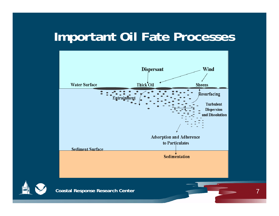# **Important Oil Fate Processes**





**Coastal Response Research Center** 7 **Coastal Response 7**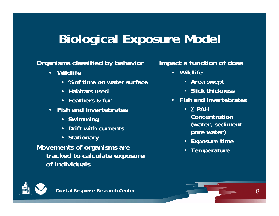# **Biological Exposure Model**

### **Organisms classified by behavior**

- **Wildlife**
	- **% of time on water surface**
	- **Habitats used**
	- **Feathers & fur**
- **Fish and Invertebrates**
	- **Swimming**
	- **Drift with currents**
	- **Stationary**

**Movements of organisms are tracked to calculate exposure of individuals**

### **Impact a function of dose**

- **Wildlife**
	- **Area swept**
	- **Slick thickness**
- **Fish and Invertebrates**
	- **PAH Concentration (water, sediment pore water)**
	- **Exposure time**
	- **Temperature**

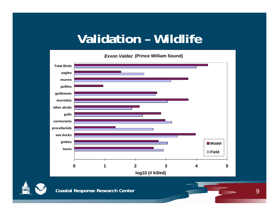# **Validation – Wildlife**

*Exxon Valdez* **(Prince William Sound)**



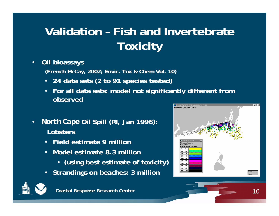# **Validation – Fish and Invertebrate Toxicity**

#### •**Oil bioassays**

**(French McCay, 2002; Envir. Tox & Chem Vol. 10)**

- **24 data sets (2 to 91 species tested)**
- • **For all data sets: model not significantly different from observed**
- • *North Cape* **Oil Spill (RI, Jan 1996): Lobsters**
	- **Field estimate 9 million**
	- $\bullet$  **Model estimate 8.3 million** 
		- **(using best estimate of toxicity)**
	- **Strandings on beaches: 3 million**



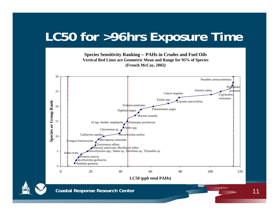# **LC50 for >96hrs Exposure Time**

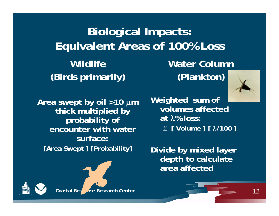**Biological Impacts: Equivalent Areas of 100% Loss Wildlife(Birds primarily) Water Column(Plankton)**



**Area swept by oil >10 <sup>m</sup> thick multiplied by probability of encounter with water surface:[Area Swept ] [Probability]**



**Weighted sum of volumes affected at % loss: [ Volume ] [ /100 ]**

**Divide by mixed layer depth to calculate area affected**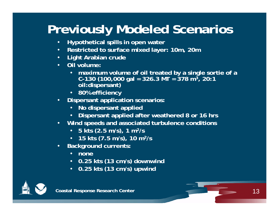# **Previously Modeled Scenarios**

- $\bullet$ **Hypothetical spills in open water**
- •**Restricted to surface mixed layer: 10m, 20m**
- $\bullet$ **Light Arabian crude**
- • **Oil volume:** 
	- **maximum volume of oil treated by a single sortie of a C-130 (100,000 gal = 326.3 MT = 378 m3, 20:1 oil:dispersant)**
	- **80% efficiency**
- • **Dispersant application scenarios:** 
	- **No dispersant applied**
	- **Dispersant applied after weathered 8 or 16 hrs**
- $\bullet$  **Wind speeds and associated turbulence conditions**
	- **5 kts (2.5 m/s), 1 m2/s**
	- **15 kts (7.5 m/s), 10 m2/s**
- $\bullet$  **Background currents:** 
	- **none**
	- **0.25 kts (13 cm/s) downwind**
	- **0.25 kts (13 cm/s) upwind**



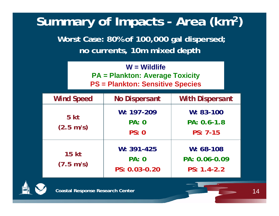# **Summary of Impacts - Area (km2)**

**Worst Case: 80% of 100,000 gal dispersed; no currents, 10m mixed depth**

| $W =$ Wildlife                          |  |  |
|-----------------------------------------|--|--|
| <b>PA = Plankton: Average Toxicity</b>  |  |  |
| <b>PS = Plankton: Sensitive Species</b> |  |  |

| <b>Wind Speed</b>                      | <b>No Dispersant</b>                            | <b>With Dispersant</b>                        |
|----------------------------------------|-------------------------------------------------|-----------------------------------------------|
| 5 <sub>kt</sub><br>$(2.5 \text{ m/s})$ | $W: 197-209$<br><b>PA: 0</b><br>PS: 0           | $W: 83-100$<br>PA: 0.6-1.8<br>$PS: 7-15$      |
| <b>15 kt</b><br>$(7.5 \text{ m/s})$    | $W: 391 - 425$<br><b>PA: 0</b><br>PS: 0.03-0.20 | $W: 68-108$<br>PA: 0.06-0.09<br>$PS: 1.4-2.2$ |



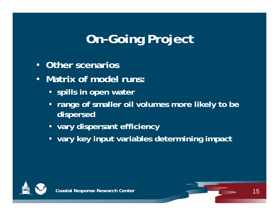# **On-Going Project**

- •**Other scenarios**
- $\bullet$  **Matrix of model runs:**
	- **spills in open water**
	- **range of smaller oil volumes more likely to be dispersed**
	- **vary dispersant efficiency**
	- **vary key input variables determining impact**



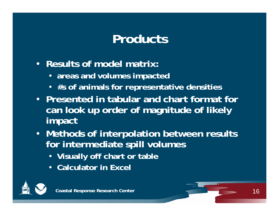# **Products**

- **Results of model matrix:** 
	- **areas and volumes impacted**
	- **#s of animals for representative densities**
- **Presented in tabular and chart format for can look up order of magnitude of likely impact**
- **Methods of interpolation between results for intermediate spill volumes** 
	- **Visually off chart or table**
	- **Calculator in Excel**



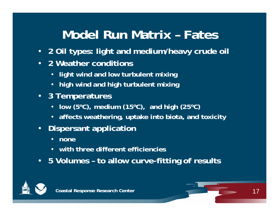# **Model Run Matrix – Fates**

- **2 Oil types: light and medium/heavy crude oil**
- **2 Weather conditions**
	- **light wind and low turbulent mixing**
	- **high wind and high turbulent mixing**
- **3 Temperatures**
	- **low (5oC), medium (15oC), and high (25oC)**
	- **affects weathering, uptake into biota, and toxicity**
- $\bullet$  **Dispersant application**
	- $\bullet$ **none**
	- **with three different efficiencies**
- **5 Volumes – to allow curve-fitting of results**



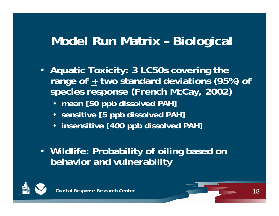# **Model Run Matrix – Biological**

- **Aquatic Toxicity: 3 LC50s covering the range of + two standard deviations (95%) of species response (French McCay, 2002)**
	- **mean [50 ppb dissolved PAH]**
	- **sensitive [5 ppb dissolved PAH]**
	- **insensitive [400 ppb dissolved PAH]**
- **Wildlife: Probability of oiling based on behavior and vulnerability**



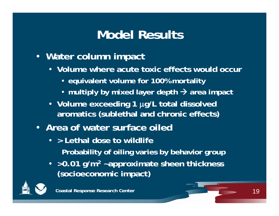# **Model Results**

- **Water column impact**
	- **Volume where acute toxic effects would occur**
		- **equivalent volume for 100% mortality**
		- **multiply by mixed layer depth area impact**
	- **Volume exceeding 1 g/L total dissolved aromatics (sublethal and chronic effects)**
- **Area of water surface oiled** 
	- **> Lethal dose to wildlife Probability of oiling varies by behavior group**
	- **>0.01 g/m2 ~approximate sheen thickness (socioeconomic impact)**

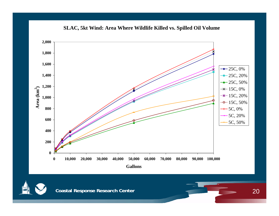

**SLAC, 5kt Wind: Area Where Wildlife Killed vs. Spilled Oil Volume**



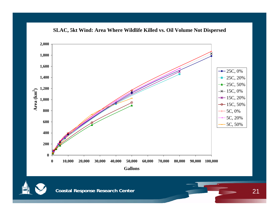

**SLAC, 5kt Wind: Area Where Wildlife Killed vs. Oil Volume Not Dispersed**

**Coastal Response Research Center**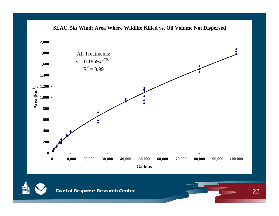



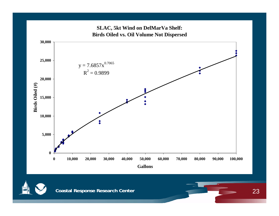

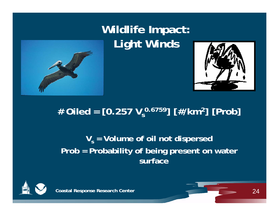





## # Oiled = [0.257 V<sub>s</sub><sup>0.6759</sup>] [#/km<sup>2</sup>] [Prob]

### $\bm{\mathsf{V}}_{\mathsf{s}}$  = Volume of oil not dispersed **Prob = Probability of being present on water surface**



**Coastal Response Research Center** 

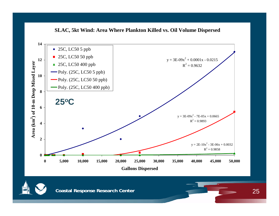

**SLAC, 5kt Wind: Area Where Plankton Killed vs. Oil Volume Dispersed**

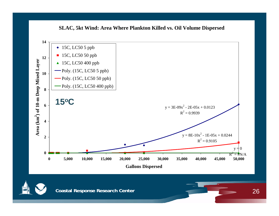



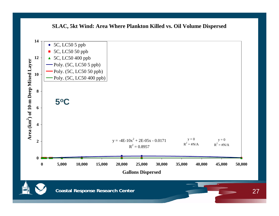### **SLAC, 5kt Wind: Area Where Plankton Killed vs. Oil Volume Dispersed**

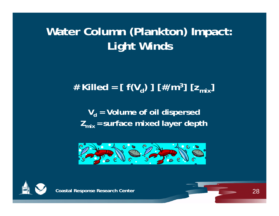# **Water Column (Plankton) Impact: Light Winds**

## # Killed =  $[f(V_d)] [#/m^3] [Z_{mix}]$

 $\bm{\mathsf{V}}_\mathsf{d}$  = Volume of oil dispersed **Zmix <sup>=</sup> surface mixed layer depth**





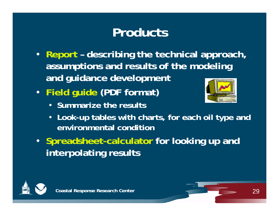# **Products**

- **Report – describing the technical approach, assumptions and results of the modeling and guidance development**
- **Field guide (PDF format)**
	- **Summarize the results**



- **Look-up tables with charts, for each oil type and environmental condition**
- **Spreadsheet-calculator for looking up and interpolating results**



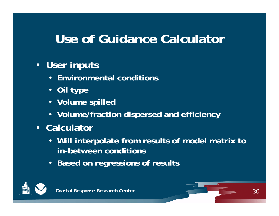# **Use of Guidance Calculator**

### • **User inputs**

- **Environmental conditions**
- **Oil type**
- **Volume spilled**
- **Volume/fraction dispersed and efficiency**
- **Calculator**
	- **Will interpolate from results of model matrix to in-between conditions**
	- **Based on regressions of results**



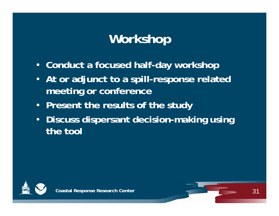# **Workshop**

- **Conduct a focused half-day workshop**
- $\bullet$  **At or adjunct to a spill-response related meeting or conference**
- **Present the results of the study**
- $\bullet$  **Discuss dispersant decision-making using the tool**